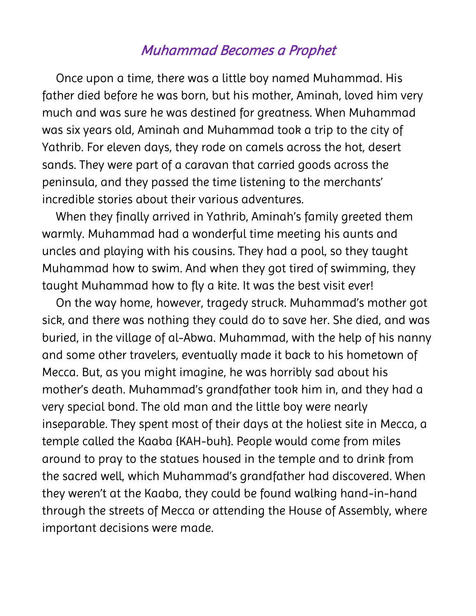## Muhammad Becomes a Prophet

Once upon a time, there was a little boy named Muhammad. His father died before he was born, but his mother, Aminah, loved him very much and was sure he was destined for greatness. When Muhammad was six years old, Aminah and Muhammad took a trip to the city of Yathrib. For eleven days, they rode on camels across the hot, desert sands. They were part of a caravan that carried goods across the peninsula, and they passed the time listening to the merchants' incredible stories about their various adventures.

When they finally arrived in Yathrib, Aminah's family greeted them warmly. Muhammad had a wonderful time meeting his aunts and uncles and playing with his cousins. They had a pool, so they taught Muhammad how to swim. And when they got tired of swimming, they taught Muhammad how to fly a kite. It was the best visit ever!

On the way home, however, tragedy struck. Muhammad's mother got sick, and there was nothing they could do to save her. She died, and was buried, in the village of al-Abwa. Muhammad, with the help of his nanny and some other travelers, eventually made it back to his hometown of Mecca. But, as you might imagine, he was horribly sad about his mother's death. Muhammad's grandfather took him in, and they had a very special bond. The old man and the little boy were nearly inseparable. They spent most of their days at the holiest site in Mecca, a temple called the Kaaba {KAH-buh}. People would come from miles around to pray to the statues housed in the temple and to drink from the sacred well, which Muhammad's grandfather had discovered. When they weren't at the Kaaba, they could be found walking hand-in-hand through the streets of Mecca or attending the House of Assembly, where important decisions were made.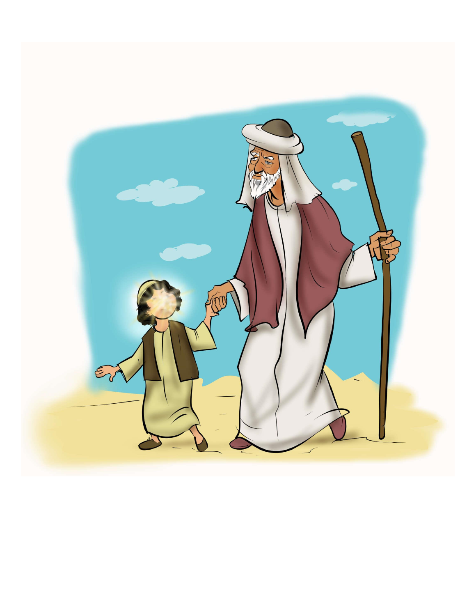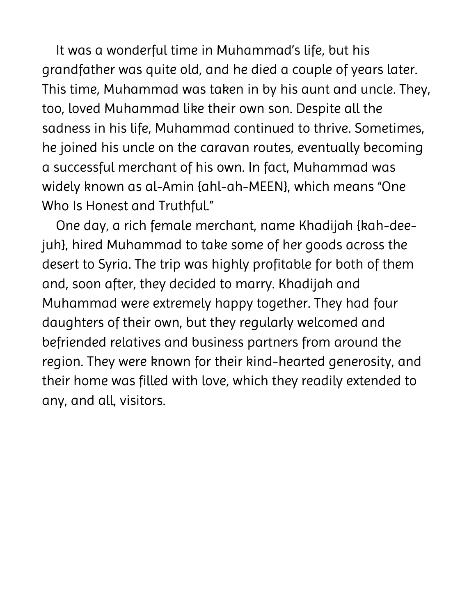It was a wonderful time in Muhammad's life, but his grandfather was quite old, and he died a couple of years later. This time, Muhammad was taken in by his aunt and uncle. They, too, loved Muhammad like their own son. Despite all the sadness in his life, Muhammad continued to thrive. Sometimes, he joined his uncle on the caravan routes, eventually becoming a successful merchant of his own. In fact, Muhammad was widely known as al-Amin {ahl-ah-MEEN}, which means "One Who Is Honest and Truthful."

One day, a rich female merchant, name Khadijah {kah-deejuh}, hired Muhammad to take some of her goods across the desert to Syria. The trip was highly profitable for both of them and, soon after, they decided to marry. Khadijah and Muhammad were extremely happy together. They had four daughters of their own, but they regularly welcomed and befriended relatives and business partners from around the region. They were known for their kind-hearted generosity, and their home was filled with love, which they readily extended to any, and all, visitors.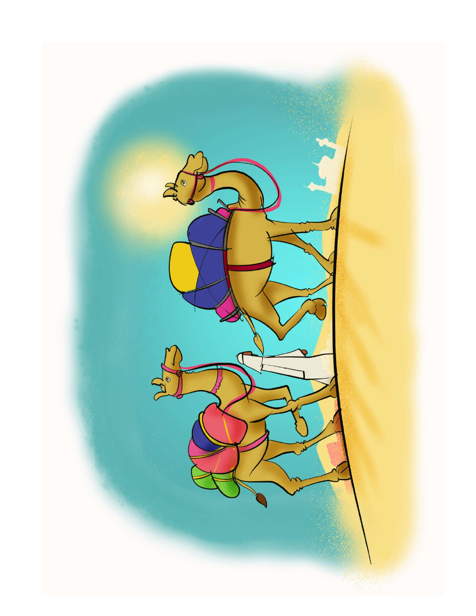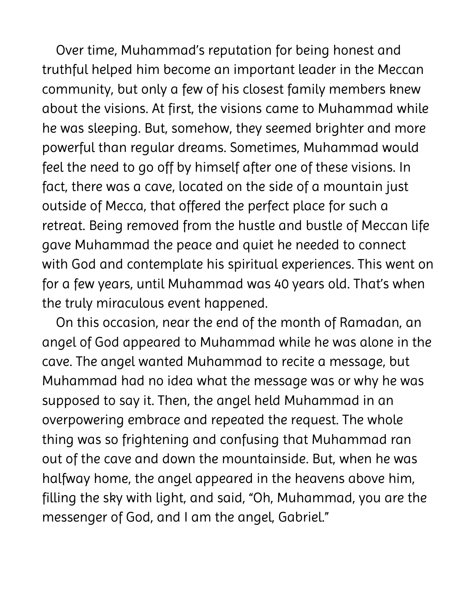Over time, Muhammad's reputation for being honest and truthful helped him become an important leader in the Meccan community, but only a few of his closest family members knew about the visions. At first, the visions came to Muhammad while he was sleeping. But, somehow, they seemed brighter and more powerful than regular dreams. Sometimes, Muhammad would feel the need to go off by himself after one of these visions. In fact, there was a cave, located on the side of a mountain just outside of Mecca, that offered the perfect place for such a retreat. Being removed from the hustle and bustle of Meccan life gave Muhammad the peace and quiet he needed to connect with God and contemplate his spiritual experiences. This went on for a few years, until Muhammad was 40 years old. That's when the truly miraculous event happened.

On this occasion, near the end of the month of Ramadan, an angel of God appeared to Muhammad while he was alone in the cave. The angel wanted Muhammad to recite a message, but Muhammad had no idea what the message was or why he was supposed to say it. Then, the angel held Muhammad in an overpowering embrace and repeated the request. The whole thing was so frightening and confusing that Muhammad ran out of the cave and down the mountainside. But, when he was halfway home, the angel appeared in the heavens above him, filling the sky with light, and said, "Oh, Muhammad, you are the messenger of God, and I am the angel, Gabriel."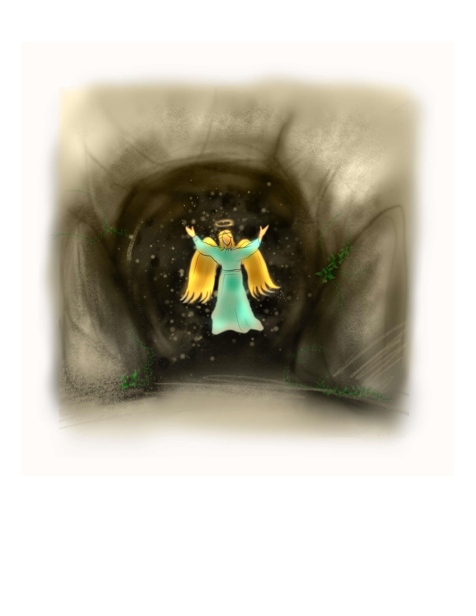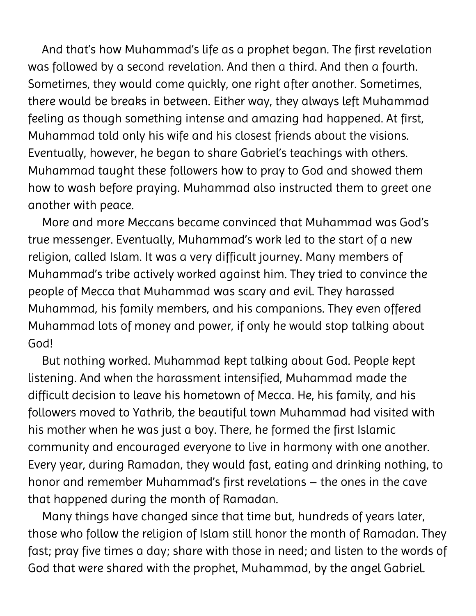And that's how Muhammad's life as a prophet began. The first revelation was followed by a second revelation. And then a third. And then a fourth. Sometimes, they would come quickly, one right after another. Sometimes, there would be breaks in between. Either way, they always left Muhammad feeling as though something intense and amazing had happened. At first, Muhammad told only his wife and his closest friends about the visions. Eventually, however, he began to share Gabriel's teachings with others. Muhammad taught these followers how to pray to God and showed them how to wash before praying. Muhammad also instructed them to greet one another with peace.

More and more Meccans became convinced that Muhammad was God's true messenger. Eventually, Muhammad's work led to the start of a new religion, called Islam. It was a very difficult journey. Many members of Muhammad's tribe actively worked against him. They tried to convince the people of Mecca that Muhammad was scary and evil. They harassed Muhammad, his family members, and his companions. They even offered Muhammad lots of money and power, if only he would stop talking about God!

But nothing worked. Muhammad kept talking about God. People kept listening. And when the harassment intensified, Muhammad made the difficult decision to leave his hometown of Mecca. He, his family, and his followers moved to Yathrib, the beautiful town Muhammad had visited with his mother when he was just a boy. There, he formed the first Islamic community and encouraged everyone to live in harmony with one another. Every year, during Ramadan, they would fast, eating and drinking nothing, to honor and remember Muhammad's first revelations – the ones in the cave that happened during the month of Ramadan.

Many things have changed since that time but, hundreds of years later, those who follow the religion of Islam still honor the month of Ramadan. They fast; pray five times a day; share with those in need; and listen to the words of God that were shared with the prophet, Muhammad, by the angel Gabriel.